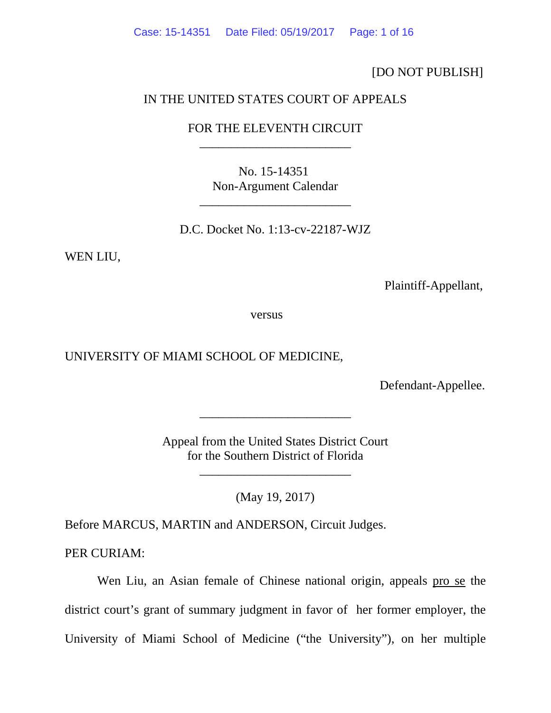Case: 15-14351 Date Filed: 05/19/2017 Page: 1 of 16

[DO NOT PUBLISH]

### IN THE UNITED STATES COURT OF APPEALS

## FOR THE ELEVENTH CIRCUIT \_\_\_\_\_\_\_\_\_\_\_\_\_\_\_\_\_\_\_\_\_\_\_\_

No. 15-14351 Non-Argument Calendar

\_\_\_\_\_\_\_\_\_\_\_\_\_\_\_\_\_\_\_\_\_\_\_\_

D.C. Docket No. 1:13-cv-22187-WJZ

WEN LIU,

Plaintiff-Appellant,

versus

UNIVERSITY OF MIAMI SCHOOL OF MEDICINE,

Defendant-Appellee.

Appeal from the United States District Court for the Southern District of Florida

\_\_\_\_\_\_\_\_\_\_\_\_\_\_\_\_\_\_\_\_\_\_\_\_

\_\_\_\_\_\_\_\_\_\_\_\_\_\_\_\_\_\_\_\_\_\_\_\_

(May 19, 2017)

Before MARCUS, MARTIN and ANDERSON, Circuit Judges.

PER CURIAM:

Wen Liu, an Asian female of Chinese national origin, appeals pro se the district court's grant of summary judgment in favor of her former employer, the University of Miami School of Medicine ("the University"), on her multiple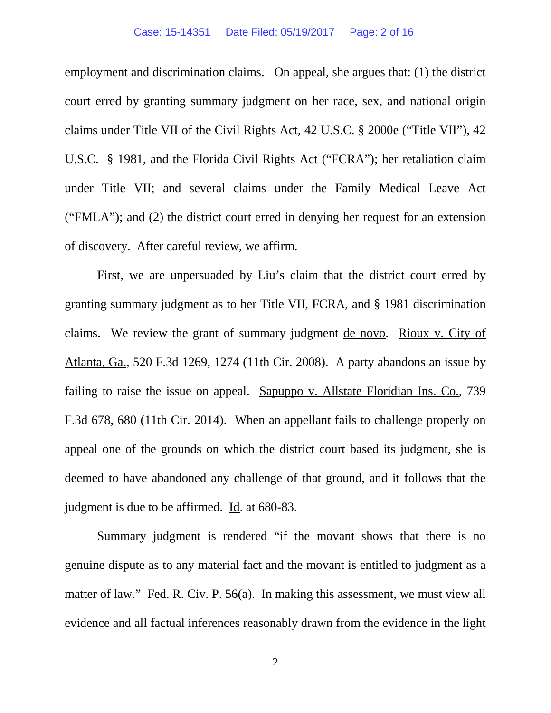#### Case: 15-14351 Date Filed: 05/19/2017 Page: 2 of 16

employment and discrimination claims. On appeal, she argues that: (1) the district court erred by granting summary judgment on her race, sex, and national origin claims under Title VII of the Civil Rights Act, 42 U.S.C. § 2000e ("Title VII"), 42 U.S.C. § 1981, and the Florida Civil Rights Act ("FCRA"); her retaliation claim under Title VII; and several claims under the Family Medical Leave Act ("FMLA"); and (2) the district court erred in denying her request for an extension of discovery. After careful review, we affirm.

First, we are unpersuaded by Liu's claim that the district court erred by granting summary judgment as to her Title VII, FCRA, and § 1981 discrimination claims. We review the grant of summary judgment de novo. Rioux v. City of Atlanta, Ga., 520 F.3d 1269, 1274 (11th Cir. 2008). A party abandons an issue by failing to raise the issue on appeal. Sapuppo v. Allstate Floridian Ins. Co., 739 F.3d 678, 680 (11th Cir. 2014). When an appellant fails to challenge properly on appeal one of the grounds on which the district court based its judgment, she is deemed to have abandoned any challenge of that ground, and it follows that the judgment is due to be affirmed. Id. at 680-83.

Summary judgment is rendered "if the movant shows that there is no genuine dispute as to any material fact and the movant is entitled to judgment as a matter of law." Fed. R. Civ. P. 56(a). In making this assessment, we must view all evidence and all factual inferences reasonably drawn from the evidence in the light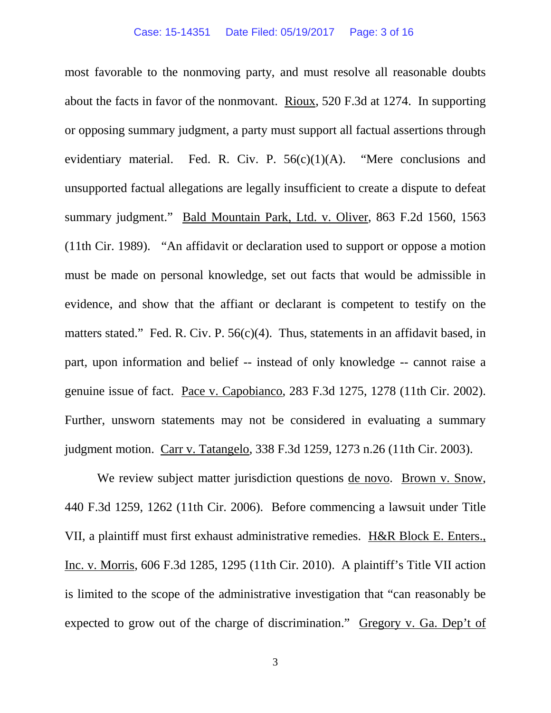most favorable to the nonmoving party, and must resolve all reasonable doubts about the facts in favor of the nonmovant. Rioux, 520 F.3d at 1274. In supporting or opposing summary judgment, a party must support all factual assertions through evidentiary material. Fed. R. Civ. P.  $56(c)(1)(A)$ . "Mere conclusions and unsupported factual allegations are legally insufficient to create a dispute to defeat summary judgment." Bald Mountain Park, Ltd. v. Oliver, 863 F.2d 1560, 1563 (11th Cir. 1989). "An affidavit or declaration used to support or oppose a motion must be made on personal knowledge, set out facts that would be admissible in evidence, and show that the affiant or declarant is competent to testify on the matters stated." Fed. R. Civ. P. 56(c)(4). Thus, statements in an affidavit based, in part, upon information and belief -- instead of only knowledge -- cannot raise a genuine issue of fact. Pace v. Capobianco, 283 F.3d 1275, 1278 (11th Cir. 2002). Further, unsworn statements may not be considered in evaluating a summary judgment motion. Carr v. Tatangelo, 338 F.3d 1259, 1273 n.26 (11th Cir. 2003).

We review subject matter jurisdiction questions de novo. Brown v. Snow, 440 F.3d 1259, 1262 (11th Cir. 2006). Before commencing a lawsuit under Title VII, a plaintiff must first exhaust administrative remedies. H&R Block E. Enters., Inc. v. Morris, 606 F.3d 1285, 1295 (11th Cir. 2010). A plaintiff's Title VII action is limited to the scope of the administrative investigation that "can reasonably be expected to grow out of the charge of discrimination." Gregory v. Ga. Dep't of

3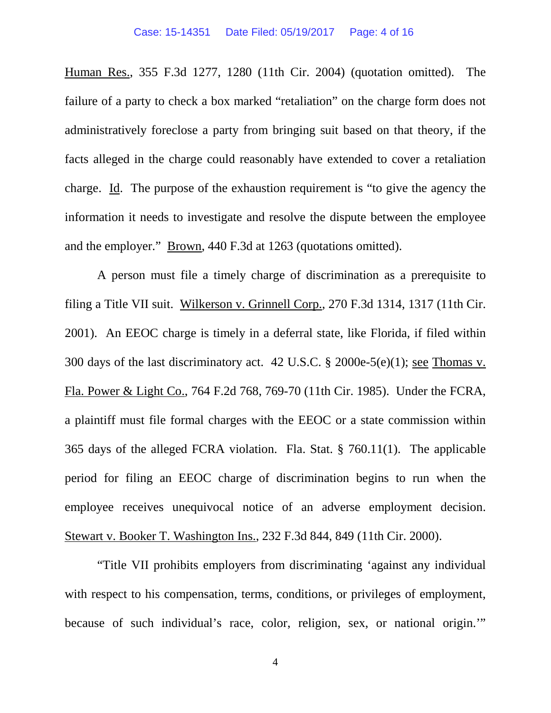Human Res., 355 F.3d 1277, 1280 (11th Cir. 2004) (quotation omitted). The failure of a party to check a box marked "retaliation" on the charge form does not administratively foreclose a party from bringing suit based on that theory, if the facts alleged in the charge could reasonably have extended to cover a retaliation charge. Id. The purpose of the exhaustion requirement is "to give the agency the information it needs to investigate and resolve the dispute between the employee and the employer." Brown, 440 F.3d at 1263 (quotations omitted).

A person must file a timely charge of discrimination as a prerequisite to filing a Title VII suit. Wilkerson v. Grinnell Corp., 270 F.3d 1314, 1317 (11th Cir. 2001). An EEOC charge is timely in a deferral state, like Florida, if filed within 300 days of the last discriminatory act. 42 U.S.C. § 2000e-5(e)(1); see Thomas v. Fla. Power & Light Co., 764 F.2d 768, 769-70 (11th Cir. 1985). Under the FCRA, a plaintiff must file formal charges with the EEOC or a state commission within 365 days of the alleged FCRA violation. Fla. Stat. § 760.11(1). The applicable period for filing an EEOC charge of discrimination begins to run when the employee receives unequivocal notice of an adverse employment decision. Stewart v. Booker T. Washington Ins., 232 F.3d 844, 849 (11th Cir. 2000).

"Title VII prohibits employers from discriminating 'against any individual with respect to his compensation, terms, conditions, or privileges of employment, because of such individual's race, color, religion, sex, or national origin.'"

4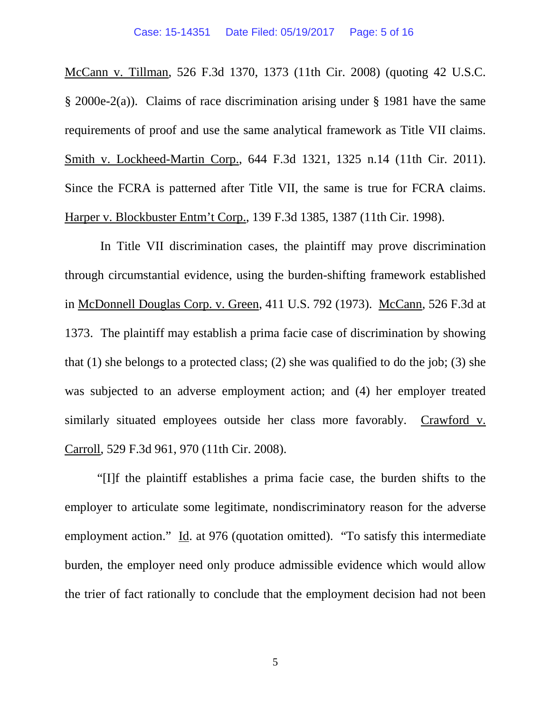McCann v. Tillman, 526 F.3d 1370, 1373 (11th Cir. 2008) (quoting 42 U.S.C. § 2000e-2(a)). Claims of race discrimination arising under § 1981 have the same requirements of proof and use the same analytical framework as Title VII claims. Smith v. Lockheed-Martin Corp., 644 F.3d 1321, 1325 n.14 (11th Cir. 2011). Since the FCRA is patterned after Title VII, the same is true for FCRA claims. Harper v. Blockbuster Entm't Corp., 139 F.3d 1385, 1387 (11th Cir. 1998).

In Title VII discrimination cases, the plaintiff may prove discrimination through circumstantial evidence, using the burden-shifting framework established in McDonnell Douglas Corp. v. Green, 411 U.S. 792 (1973). McCann, 526 F.3d at 1373. The plaintiff may establish a prima facie case of discrimination by showing that (1) she belongs to a protected class; (2) she was qualified to do the job; (3) she was subjected to an adverse employment action; and (4) her employer treated similarly situated employees outside her class more favorably. Crawford v. Carroll, 529 F.3d 961, 970 (11th Cir. 2008).

"[I]f the plaintiff establishes a prima facie case, the burden shifts to the employer to articulate some legitimate, nondiscriminatory reason for the adverse employment action." Id. at 976 (quotation omitted). "To satisfy this intermediate burden, the employer need only produce admissible evidence which would allow the trier of fact rationally to conclude that the employment decision had not been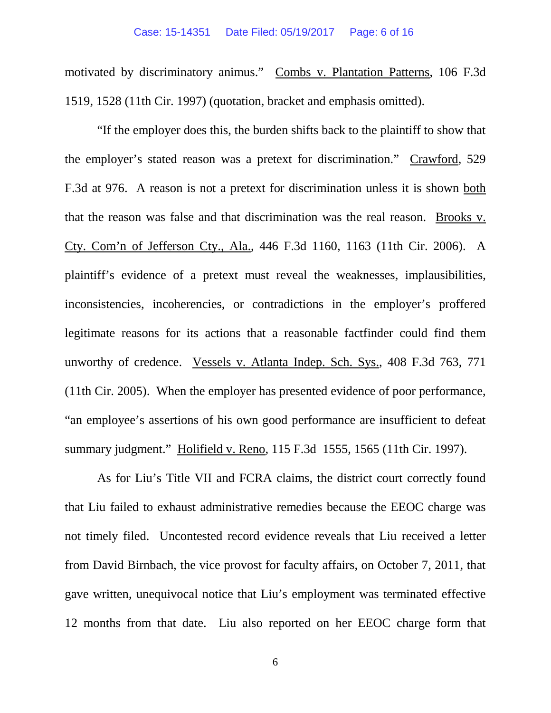#### Case: 15-14351 Date Filed: 05/19/2017 Page: 6 of 16

motivated by discriminatory animus." Combs v. Plantation Patterns, 106 F.3d 1519, 1528 (11th Cir. 1997) (quotation, bracket and emphasis omitted).

"If the employer does this, the burden shifts back to the plaintiff to show that the employer's stated reason was a pretext for discrimination." Crawford, 529 F.3d at 976. A reason is not a pretext for discrimination unless it is shown both that the reason was false and that discrimination was the real reason. Brooks v. Cty. Com'n of Jefferson Cty., Ala., 446 F.3d 1160, 1163 (11th Cir. 2006). A plaintiff's evidence of a pretext must reveal the weaknesses, implausibilities, inconsistencies, incoherencies, or contradictions in the employer's proffered legitimate reasons for its actions that a reasonable factfinder could find them unworthy of credence. Vessels v. Atlanta Indep. Sch. Sys., 408 F.3d 763, 771 (11th Cir. 2005). When the employer has presented evidence of poor performance, "an employee's assertions of his own good performance are insufficient to defeat summary judgment." Holifield v. Reno, 115 F.3d 1555, 1565 (11th Cir. 1997).

As for Liu's Title VII and FCRA claims, the district court correctly found that Liu failed to exhaust administrative remedies because the EEOC charge was not timely filed. Uncontested record evidence reveals that Liu received a letter from David Birnbach, the vice provost for faculty affairs, on October 7, 2011, that gave written, unequivocal notice that Liu's employment was terminated effective 12 months from that date. Liu also reported on her EEOC charge form that

6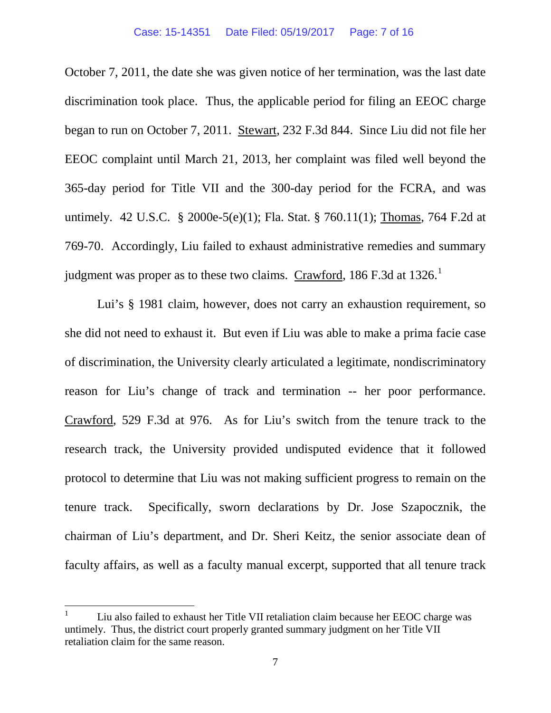October 7, 2011, the date she was given notice of her termination, was the last date discrimination took place. Thus, the applicable period for filing an EEOC charge began to run on October 7, 2011. Stewart, 232 F.3d 844. Since Liu did not file her EEOC complaint until March 21, 2013, her complaint was filed well beyond the 365-day period for Title VII and the 300-day period for the FCRA, and was untimely. 42 U.S.C. § 2000e-5(e)(1); Fla. Stat. § 760.11(1); Thomas, 764 F.2d at 769-70. Accordingly, Liu failed to exhaust administrative remedies and summary judgment was proper as to these two claims.  $C$ rawford, [1](#page-6-0)86 F.3d at 1326.<sup>1</sup>

Lui's § 1981 claim, however, does not carry an exhaustion requirement, so she did not need to exhaust it. But even if Liu was able to make a prima facie case of discrimination, the University clearly articulated a legitimate, nondiscriminatory reason for Liu's change of track and termination -- her poor performance. Crawford, 529 F.3d at 976. As for Liu's switch from the tenure track to the research track, the University provided undisputed evidence that it followed protocol to determine that Liu was not making sufficient progress to remain on the tenure track. Specifically, sworn declarations by Dr. Jose Szapocznik, the chairman of Liu's department, and Dr. Sheri Keitz, the senior associate dean of faculty affairs, as well as a faculty manual excerpt, supported that all tenure track

<span id="page-6-0"></span> <sup>1</sup> Liu also failed to exhaust her Title VII retaliation claim because her EEOC charge was untimely. Thus, the district court properly granted summary judgment on her Title VII retaliation claim for the same reason.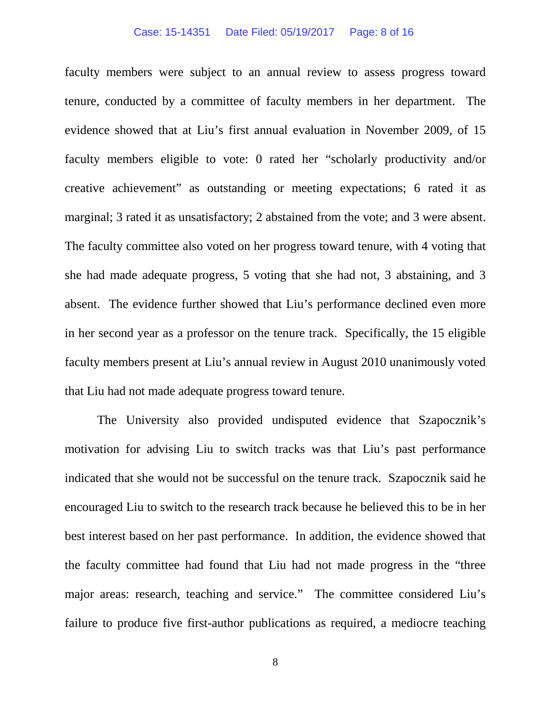#### Case: 15-14351 Date Filed: 05/19/2017 Page: 8 of 16

faculty members were subject to an annual review to assess progress toward tenure, conducted by a committee of faculty members in her department. The evidence showed that at Liu's first annual evaluation in November 2009, of 15 faculty members eligible to vote: 0 rated her "scholarly productivity and/or creative achievement" as outstanding or meeting expectations; 6 rated it as marginal; 3 rated it as unsatisfactory; 2 abstained from the vote; and 3 were absent. The faculty committee also voted on her progress toward tenure, with 4 voting that she had made adequate progress, 5 voting that she had not, 3 abstaining, and 3 absent. The evidence further showed that Liu's performance declined even more in her second year as a professor on the tenure track. Specifically, the 15 eligible faculty members present at Liu's annual review in August 2010 unanimously voted that Liu had not made adequate progress toward tenure.

The University also provided undisputed evidence that Szapocznik's motivation for advising Liu to switch tracks was that Liu's past performance indicated that she would not be successful on the tenure track. Szapocznik said he encouraged Liu to switch to the research track because he believed this to be in her best interest based on her past performance. In addition, the evidence showed that the faculty committee had found that Liu had not made progress in the "three major areas: research, teaching and service." The committee considered Liu's failure to produce five first-author publications as required, a mediocre teaching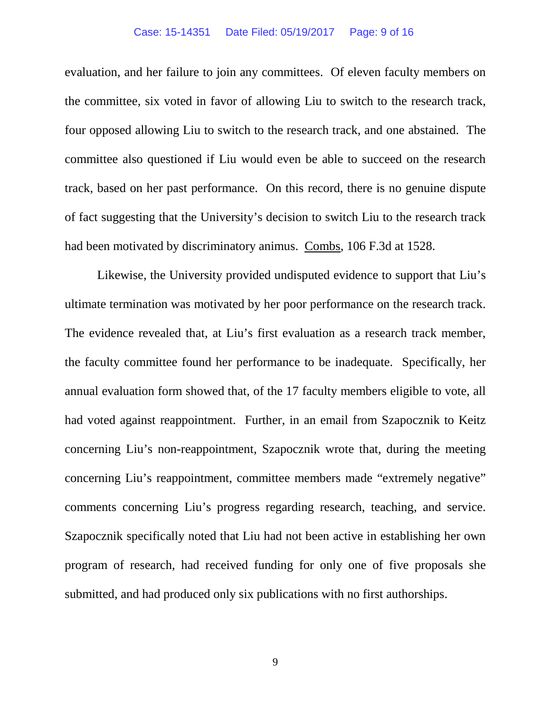#### Case: 15-14351 Date Filed: 05/19/2017 Page: 9 of 16

evaluation, and her failure to join any committees. Of eleven faculty members on the committee, six voted in favor of allowing Liu to switch to the research track, four opposed allowing Liu to switch to the research track, and one abstained. The committee also questioned if Liu would even be able to succeed on the research track, based on her past performance. On this record, there is no genuine dispute of fact suggesting that the University's decision to switch Liu to the research track had been motivated by discriminatory animus. Combs, 106 F.3d at 1528.

Likewise, the University provided undisputed evidence to support that Liu's ultimate termination was motivated by her poor performance on the research track. The evidence revealed that, at Liu's first evaluation as a research track member, the faculty committee found her performance to be inadequate. Specifically, her annual evaluation form showed that, of the 17 faculty members eligible to vote, all had voted against reappointment. Further, in an email from Szapocznik to Keitz concerning Liu's non-reappointment, Szapocznik wrote that, during the meeting concerning Liu's reappointment, committee members made "extremely negative" comments concerning Liu's progress regarding research, teaching, and service. Szapocznik specifically noted that Liu had not been active in establishing her own program of research, had received funding for only one of five proposals she submitted, and had produced only six publications with no first authorships.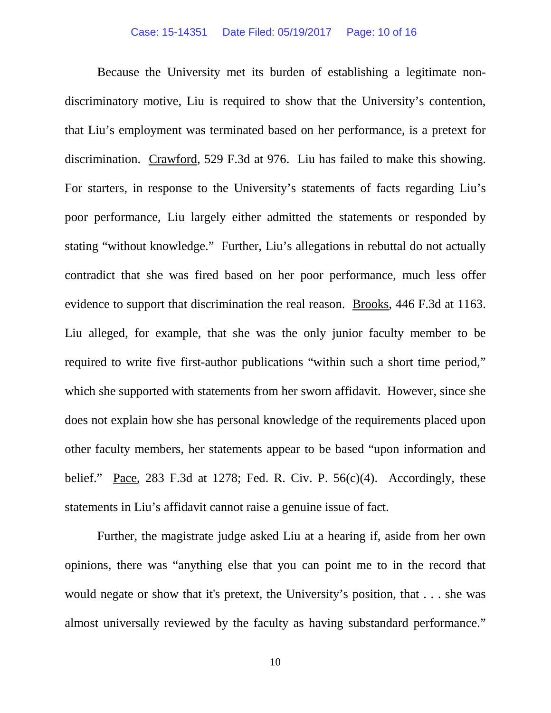Because the University met its burden of establishing a legitimate nondiscriminatory motive, Liu is required to show that the University's contention, that Liu's employment was terminated based on her performance, is a pretext for discrimination. Crawford, 529 F.3d at 976. Liu has failed to make this showing. For starters, in response to the University's statements of facts regarding Liu's poor performance, Liu largely either admitted the statements or responded by stating "without knowledge." Further, Liu's allegations in rebuttal do not actually contradict that she was fired based on her poor performance, much less offer evidence to support that discrimination the real reason. Brooks, 446 F.3d at 1163. Liu alleged, for example, that she was the only junior faculty member to be required to write five first-author publications "within such a short time period," which she supported with statements from her sworn affidavit. However, since she does not explain how she has personal knowledge of the requirements placed upon other faculty members, her statements appear to be based "upon information and belief." Pace, 283 F.3d at 1278; Fed. R. Civ. P.  $56(c)(4)$ . Accordingly, these statements in Liu's affidavit cannot raise a genuine issue of fact.

Further, the magistrate judge asked Liu at a hearing if, aside from her own opinions, there was "anything else that you can point me to in the record that would negate or show that it's pretext, the University's position, that . . . she was almost universally reviewed by the faculty as having substandard performance."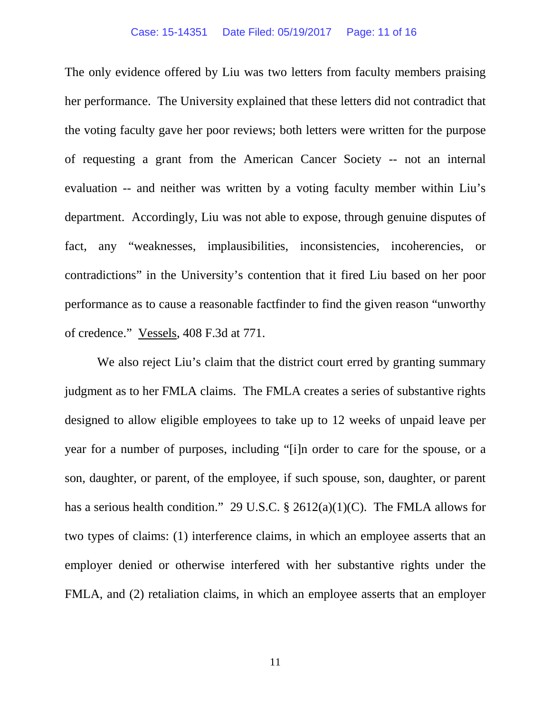The only evidence offered by Liu was two letters from faculty members praising her performance. The University explained that these letters did not contradict that the voting faculty gave her poor reviews; both letters were written for the purpose of requesting a grant from the American Cancer Society -- not an internal evaluation -- and neither was written by a voting faculty member within Liu's department. Accordingly, Liu was not able to expose, through genuine disputes of fact, any "weaknesses, implausibilities, inconsistencies, incoherencies, or contradictions" in the University's contention that it fired Liu based on her poor performance as to cause a reasonable factfinder to find the given reason "unworthy of credence." Vessels, 408 F.3d at 771.

We also reject Liu's claim that the district court erred by granting summary judgment as to her FMLA claims. The FMLA creates a series of substantive rights designed to allow eligible employees to take up to 12 weeks of unpaid leave per year for a number of purposes, including "[i]n order to care for the spouse, or a son, daughter, or parent, of the employee, if such spouse, son, daughter, or parent has a serious health condition." 29 U.S.C.  $\S$  2612(a)(1)(C). The FMLA allows for two types of claims: (1) interference claims, in which an employee asserts that an employer denied or otherwise interfered with her substantive rights under the FMLA, and (2) retaliation claims, in which an employee asserts that an employer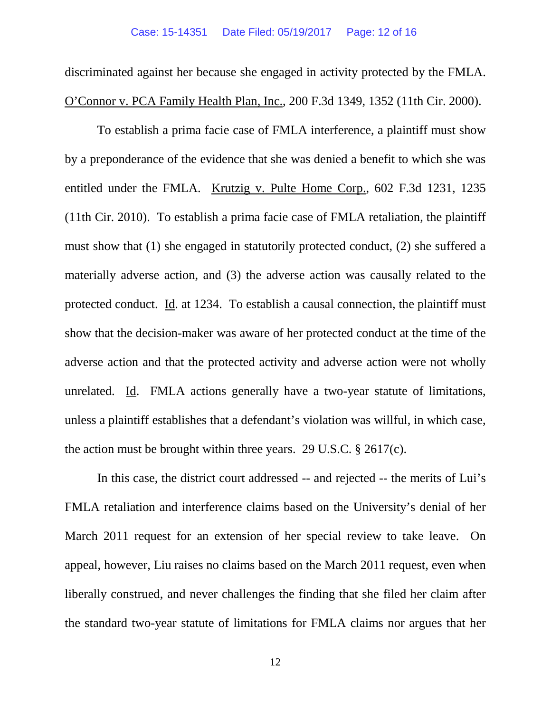discriminated against her because she engaged in activity protected by the FMLA. O'Connor v. PCA Family Health Plan, Inc., 200 F.3d 1349, 1352 (11th Cir. 2000).

To establish a prima facie case of FMLA interference, a plaintiff must show by a preponderance of the evidence that she was denied a benefit to which she was entitled under the FMLA. Krutzig v. Pulte Home Corp., 602 F.3d 1231, 1235 (11th Cir. 2010). To establish a prima facie case of FMLA retaliation, the plaintiff must show that (1) she engaged in statutorily protected conduct, (2) she suffered a materially adverse action, and (3) the adverse action was causally related to the protected conduct. Id. at 1234. To establish a causal connection, the plaintiff must show that the decision-maker was aware of her protected conduct at the time of the adverse action and that the protected activity and adverse action were not wholly unrelated. Id. FMLA actions generally have a two-year statute of limitations, unless a plaintiff establishes that a defendant's violation was willful, in which case, the action must be brought within three years. 29 U.S.C. § 2617(c).

In this case, the district court addressed -- and rejected -- the merits of Lui's FMLA retaliation and interference claims based on the University's denial of her March 2011 request for an extension of her special review to take leave. On appeal, however, Liu raises no claims based on the March 2011 request, even when liberally construed, and never challenges the finding that she filed her claim after the standard two-year statute of limitations for FMLA claims nor argues that her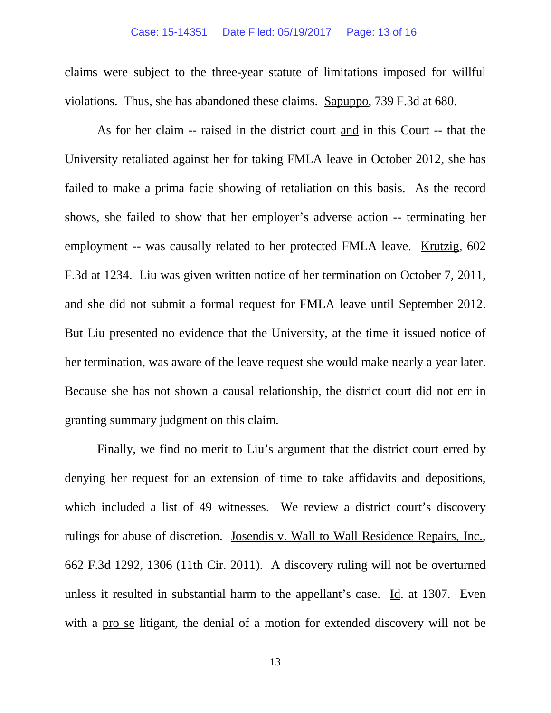claims were subject to the three-year statute of limitations imposed for willful violations. Thus, she has abandoned these claims. Sapuppo, 739 F.3d at 680.

As for her claim -- raised in the district court and in this Court -- that the University retaliated against her for taking FMLA leave in October 2012, she has failed to make a prima facie showing of retaliation on this basis. As the record shows, she failed to show that her employer's adverse action -- terminating her employment -- was causally related to her protected FMLA leave. Krutzig, 602 F.3d at 1234. Liu was given written notice of her termination on October 7, 2011, and she did not submit a formal request for FMLA leave until September 2012. But Liu presented no evidence that the University, at the time it issued notice of her termination, was aware of the leave request she would make nearly a year later. Because she has not shown a causal relationship, the district court did not err in granting summary judgment on this claim.

Finally, we find no merit to Liu's argument that the district court erred by denying her request for an extension of time to take affidavits and depositions, which included a list of 49 witnesses. We review a district court's discovery rulings for abuse of discretion. Josendis v. Wall to Wall Residence Repairs, Inc., 662 F.3d 1292, 1306 (11th Cir. 2011). A discovery ruling will not be overturned unless it resulted in substantial harm to the appellant's case. Id. at 1307. Even with a pro se litigant, the denial of a motion for extended discovery will not be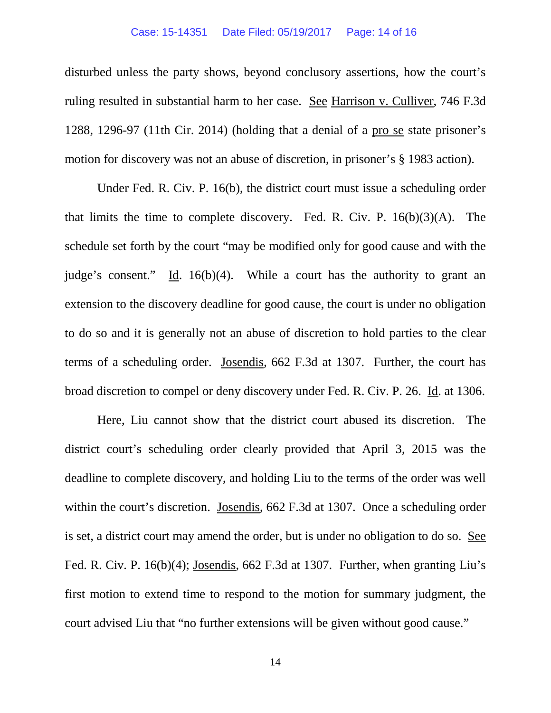disturbed unless the party shows, beyond conclusory assertions, how the court's ruling resulted in substantial harm to her case. See Harrison v. Culliver, 746 F.3d 1288, 1296-97 (11th Cir. 2014) (holding that a denial of a pro se state prisoner's motion for discovery was not an abuse of discretion, in prisoner's § 1983 action).

Under Fed. R. Civ. P. 16(b), the district court must issue a scheduling order that limits the time to complete discovery. Fed. R. Civ. P.  $16(b)(3)(A)$ . The schedule set forth by the court "may be modified only for good cause and with the judge's consent." Id. 16(b)(4). While a court has the authority to grant an extension to the discovery deadline for good cause, the court is under no obligation to do so and it is generally not an abuse of discretion to hold parties to the clear terms of a scheduling order. Josendis, 662 F.3d at 1307. Further, the court has broad discretion to compel or deny discovery under Fed. R. Civ. P. 26. Id. at 1306.

Here, Liu cannot show that the district court abused its discretion. The district court's scheduling order clearly provided that April 3, 2015 was the deadline to complete discovery, and holding Liu to the terms of the order was well within the court's discretion. Josendis, 662 F.3d at 1307. Once a scheduling order is set, a district court may amend the order, but is under no obligation to do so. See Fed. R. Civ. P. 16(b)(4); Josendis, 662 F.3d at 1307. Further, when granting Liu's first motion to extend time to respond to the motion for summary judgment, the court advised Liu that "no further extensions will be given without good cause."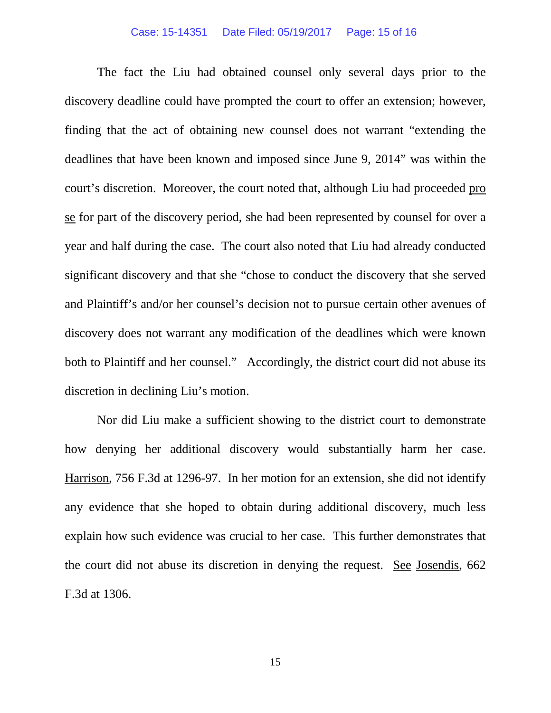#### Case: 15-14351 Date Filed: 05/19/2017 Page: 15 of 16

The fact the Liu had obtained counsel only several days prior to the discovery deadline could have prompted the court to offer an extension; however, finding that the act of obtaining new counsel does not warrant "extending the deadlines that have been known and imposed since June 9, 2014" was within the court's discretion. Moreover, the court noted that, although Liu had proceeded pro se for part of the discovery period, she had been represented by counsel for over a year and half during the case. The court also noted that Liu had already conducted significant discovery and that she "chose to conduct the discovery that she served and Plaintiff's and/or her counsel's decision not to pursue certain other avenues of discovery does not warrant any modification of the deadlines which were known both to Plaintiff and her counsel." Accordingly, the district court did not abuse its discretion in declining Liu's motion.

Nor did Liu make a sufficient showing to the district court to demonstrate how denying her additional discovery would substantially harm her case. Harrison, 756 F.3d at 1296-97. In her motion for an extension, she did not identify any evidence that she hoped to obtain during additional discovery, much less explain how such evidence was crucial to her case. This further demonstrates that the court did not abuse its discretion in denying the request. See Josendis, 662 F.3d at 1306.